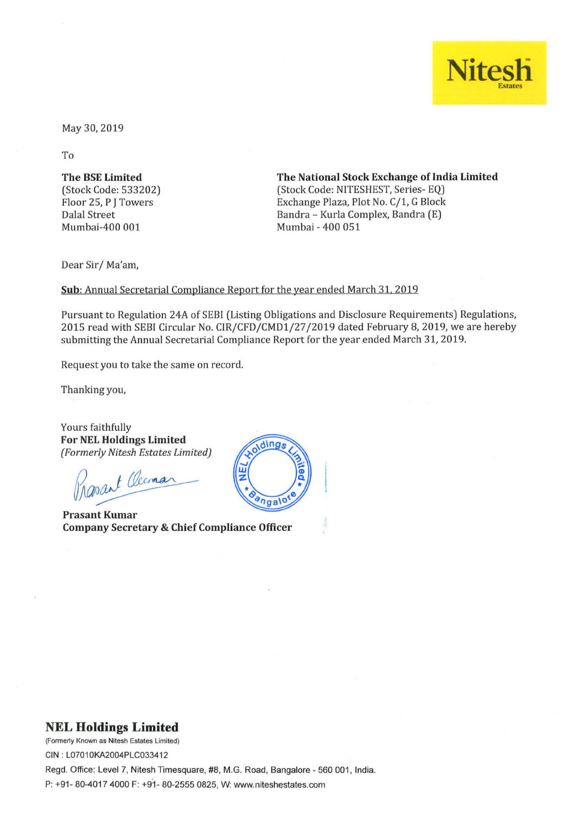

May 30, 2019

To

The BSE Limited (Stock Code: 533202) Floor 25, P J Towers Dalal Street Mumbai-400 001

The National Stock Exchange of India Limited (Stock Code: NlTESHEST, Series- EQ) Exchange Plaza, Plot No. C/1, G Block Bandra - Kurla Complex, Bandra (E) Mumbai - 400 051

Dear Sir/ Ma'am,

Sub: Annual Secretarial Compliance Report for the year ended March 31, 2019

Pursuant to Regulation 24A of SEBI (Listing Obligations and Disclosure Requirements) Regulations, 2015 read with SEBI Circular No. CIR/CFD/CMD1/27/2019 dated February 8, 2019, we are hereby submitting the Annual Secretarial Compliance Report for the year ended March 31, 2019.

Request you to take the same on record.

Thanking you,

Yours faithfully For NEL Holdings Limited *(Formerly Nitesh Estates Limited)* 

Rasant Oceman

Prasant Kumar Company Secretary & Chief Compliance Officer



## **NEL Holdings Limited**

**(Formerly Known as Nitesh Estates limited)**  CIN : L07010KA2004PLC033412

Regd. Office: Level 7, Nitesh Timesquare, #8, M.G. Road, Bangalore - 560 001, India. P: +91 - 80-4017 4000 F: +91- 80-2555 0825, W: www.niteshestates.com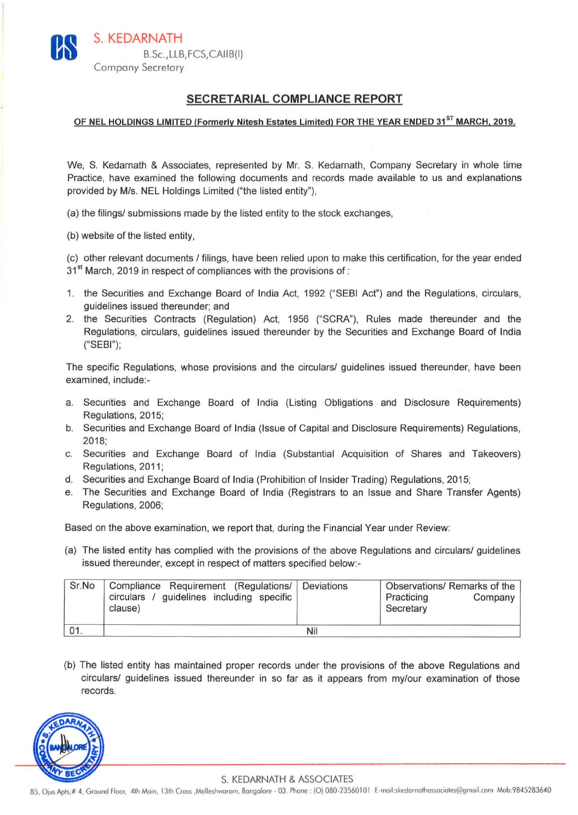## SECRETARIAL COMPLIANCE REPORT

## OF NEL HOLDINGS LIMITED (Formerly Nitesh Estates Limited) FOR THE YEAR ENDED 31<sup>ST</sup> MARCH. 2019.

We, S. Kedarnath & Associates. represented by Mr. S. Kedarnath, Company Secretary in whole time Practice, have examined the following documents and records made available to us and explanations provided by M/s. NEL Holdings Limited ("the listed entity"),

- (a) the filings/ submissions made by the listed entity to the stock exchanges,
- (b) website of the listed entity,

(c) other relevant documents I filings, have been relied upon to make this certification, for the year ended 31<sup>st</sup> March, 2019 in respect of compliances with the provisions of :

- 1. the Securities and Exchange Board of India Act, 1992 ("SEBI Act") and the Regulations, circulars, guidelines issued thereunder; and
- 2. the Securities Contracts (Regulation) Act, 1956 ("SCRA"), Rules made thereunder and the Regulations, circulars, guidelines issued thereunder by the Securities and Exchange Board of India ("SEBI");

The specific Regulations, whose provisions and the circulars/ guidelines issued thereunder, have been examined, include:-

- a. Securities and Exchange Board of India (Listing Obligations and Disclosure Requirements) Regulations, 2015;
- b. Securities and Exchange Board of India (Issue of Capital and Disclosure Requirements) Regulations, 2018;
- c. Securities and Exchange Board of India (Substantial Acquisition of Shares and Takeovers) Regulations, 2011;
- d. Securities and Exchange Board of India (Prohibition of Insider Trading) Regulations, 2015;
- e. The Securities and Exchange Board of India (Registrars to an Issue and Share Transfer Agents) Regulations, 2006;

Based on the above examination, we report that, during the Financial Year under Review:

(a) The listed entity has complied with the provisions of the above Regulations and circulars/ guidelines issued thereunder, except in respect of matters specified below:-

| Sr.No   | Compliance Requirement (Regulations/ Deviations<br>circulars / guidelines including specific<br>clause) |  | Observations/ Remarks of the<br>Practicing<br>Company<br>Secretary |  |
|---------|---------------------------------------------------------------------------------------------------------|--|--------------------------------------------------------------------|--|
| $'$ 01. | Nil                                                                                                     |  |                                                                    |  |

(b) The listed entity has maintained proper records under the provisions of the above Regulations and circulars/ guidelines issued thereunder in so far as it appears from my/our examination of those records.